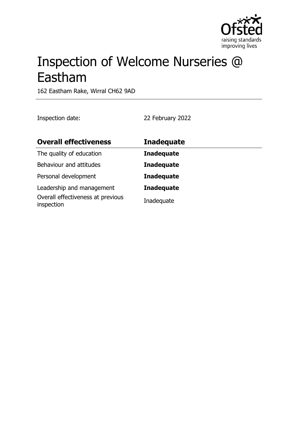

# Inspection of Welcome Nurseries @ Eastham

162 Eastham Rake, Wirral CH62 9AD

Inspection date: 22 February 2022

| <b>Overall effectiveness</b>                    | <b>Inadequate</b> |
|-------------------------------------------------|-------------------|
| The quality of education                        | <b>Inadequate</b> |
| Behaviour and attitudes                         | <b>Inadequate</b> |
| Personal development                            | <b>Inadequate</b> |
| Leadership and management                       | <b>Inadequate</b> |
| Overall effectiveness at previous<br>inspection | Inadequate        |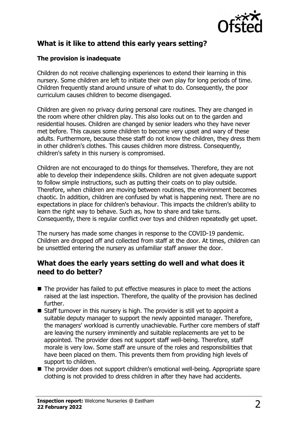

# **What is it like to attend this early years setting?**

#### **The provision is inadequate**

Children do not receive challenging experiences to extend their learning in this nursery. Some children are left to initiate their own play for long periods of time. Children frequently stand around unsure of what to do. Consequently, the poor curriculum causes children to become disengaged.

Children are given no privacy during personal care routines. They are changed in the room where other children play. This also looks out on to the garden and residential houses. Children are changed by senior leaders who they have never met before. This causes some children to become very upset and wary of these adults. Furthermore, because these staff do not know the children, they dress them in other children's clothes. This causes children more distress. Consequently, children's safety in this nursery is compromised.

Children are not encouraged to do things for themselves. Therefore, they are not able to develop their independence skills. Children are not given adequate support to follow simple instructions, such as putting their coats on to play outside. Therefore, when children are moving between routines, the environment becomes chaotic. In addition, children are confused by what is happening next. There are no expectations in place for children's behaviour. This impacts the children's ability to learn the right way to behave. Such as, how to share and take turns. Consequently, there is regular conflict over toys and children repeatedly get upset.

The nursery has made some changes in response to the COVID-19 pandemic. Children are dropped off and collected from staff at the door. At times, children can be unsettled entering the nursery as unfamiliar staff answer the door.

# **What does the early years setting do well and what does it need to do better?**

- $\blacksquare$  The provider has failed to put effective measures in place to meet the actions raised at the last inspection. Therefore, the quality of the provision has declined further.
- $\blacksquare$  Staff turnover in this nursery is high. The provider is still yet to appoint a suitable deputy manager to support the newly appointed manager. Therefore, the managers' workload is currently unachievable. Further core members of staff are leaving the nursery imminently and suitable replacements are yet to be appointed. The provider does not support staff well-being. Therefore, staff morale is very low. Some staff are unsure of the roles and responsibilities that have been placed on them. This prevents them from providing high levels of support to children.
- The provider does not support children's emotional well-being. Appropriate spare clothing is not provided to dress children in after they have had accidents.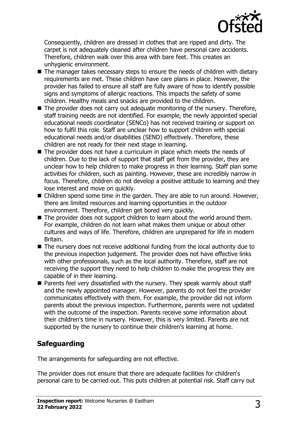

Consequently, children are dressed in clothes that are ripped and dirty. The carpet is not adequately cleaned after children have personal care accidents. Therefore, children walk over this area with bare feet. This creates an unhygienic environment.

- $\blacksquare$  The manager takes necessary steps to ensure the needs of children with dietary requirements are met. These children have care plans in place. However, the provider has failed to ensure all staff are fully aware of how to identify possible signs and symptoms of allergic reactions. This impacts the safety of some children. Healthy meals and snacks are provided to the children.
- $\blacksquare$  The provider does not carry out adequate monitoring of the nursery. Therefore, staff training needs are not identified. For example, the newly appointed special educational needs coordinator (SENCo) has not received training or support on how to fulfil this role. Staff are unclear how to support children with special educational needs and/or disabilities (SEND) effectively. Therefore, these children are not ready for their next stage in learning.
- $\blacksquare$  The provider does not have a curriculum in place which meets the needs of children. Due to the lack of support that staff get from the provider, they are unclear how to help children to make progress in their learning. Staff plan some activities for children, such as painting. However, these are incredibly narrow in focus. Therefore, children do not develop a positive attitude to learning and they lose interest and move on quickly.
- $\blacksquare$  Children spend some time in the garden. They are able to run around. However, there are limited resources and learning opportunities in the outdoor environment. Therefore, children get bored very quickly.
- $\blacksquare$  The provider does not support children to learn about the world around them. For example, children do not learn what makes them unique or about other cultures and ways of life. Therefore, children are unprepared for life in modern Britain.
- $\blacksquare$  The nursery does not receive additional funding from the local authority due to the previous inspection judgement. The provider does not have effective links with other professionals, such as the local authority. Therefore, staff are not receiving the support they need to help children to make the progress they are capable of in their learning.
- $\blacksquare$  Parents feel very dissatisfied with the nursery. They speak warmly about staff and the newly appointed manager. However, parents do not feel the provider communicates effectively with them. For example, the provider did not inform parents about the previous inspection. Furthermore, parents were not updated with the outcome of the inspection. Parents receive some information about their children's time in nursery. However, this is very limited. Parents are not supported by the nursery to continue their children's learning at home.

# **Safeguarding**

The arrangements for safeguarding are not effective.

The provider does not ensure that there are adequate facilities for children's personal care to be carried out. This puts children at potential risk. Staff carry out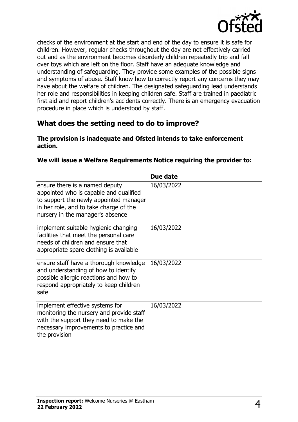

checks of the environment at the start and end of the day to ensure it is safe for children. However, regular checks throughout the day are not effectively carried out and as the environment becomes disorderly children repeatedly trip and fall over toys which are left on the floor. Staff have an adequate knowledge and understanding of safeguarding. They provide some examples of the possible signs and symptoms of abuse. Staff know how to correctly report any concerns they may have about the welfare of children. The designated safeguarding lead understands her role and responsibilities in keeping children safe. Staff are trained in paediatric first aid and report children's accidents correctly. There is an emergency evacuation procedure in place which is understood by staff.

# **What does the setting need to do to improve?**

#### **The provision is inadequate and Ofsted intends to take enforcement action.**

|                                                                                                                                                                                                  | Due date   |
|--------------------------------------------------------------------------------------------------------------------------------------------------------------------------------------------------|------------|
| ensure there is a named deputy<br>appointed who is capable and qualified<br>to support the newly appointed manager<br>in her role, and to take charge of the<br>nursery in the manager's absence | 16/03/2022 |
| implement suitable hygienic changing<br>facilities that meet the personal care<br>needs of children and ensure that<br>appropriate spare clothing is available                                   | 16/03/2022 |
| ensure staff have a thorough knowledge<br>and understanding of how to identify<br>possible allergic reactions and how to<br>respond appropriately to keep children<br>safe                       | 16/03/2022 |
| implement effective systems for<br>monitoring the nursery and provide staff<br>with the support they need to make the<br>necessary improvements to practice and<br>the provision                 | 16/03/2022 |

#### **We will issue a Welfare Requirements Notice requiring the provider to:**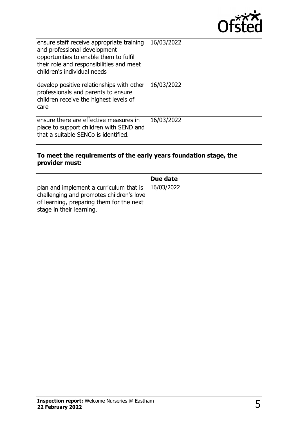

| ensure staff receive appropriate training<br>and professional development<br>opportunities to enable them to fulfil<br>their role and responsibilities and meet<br>children's individual needs | 16/03/2022 |
|------------------------------------------------------------------------------------------------------------------------------------------------------------------------------------------------|------------|
| develop positive relationships with other<br>professionals and parents to ensure<br>children receive the highest levels of<br>care                                                             | 16/03/2022 |
| ensure there are effective measures in<br>place to support children with SEND and<br>that a suitable SENCo is identified.                                                                      | 16/03/2022 |

#### **To meet the requirements of the early years foundation stage, the provider must:**

|                                                                                                                                                             | Due date   |
|-------------------------------------------------------------------------------------------------------------------------------------------------------------|------------|
| plan and implement a curriculum that is<br>challenging and promotes children's love<br>of learning, preparing them for the next<br>stage in their learning. | 16/03/2022 |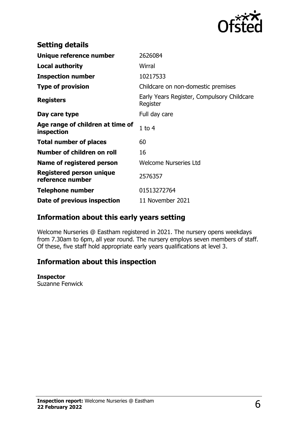

| <b>Setting details</b>                         |                                                        |
|------------------------------------------------|--------------------------------------------------------|
| Unique reference number                        | 2626084                                                |
| <b>Local authority</b>                         | Wirral                                                 |
| <b>Inspection number</b>                       | 10217533                                               |
| <b>Type of provision</b>                       | Childcare on non-domestic premises                     |
| <b>Registers</b>                               | Early Years Register, Compulsory Childcare<br>Register |
| Day care type                                  | Full day care                                          |
| Age range of children at time of<br>inspection | $1$ to $4$                                             |
| <b>Total number of places</b>                  | 60                                                     |
| Number of children on roll                     | 16                                                     |
| Name of registered person                      | <b>Welcome Nurseries Ltd</b>                           |
| Registered person unique<br>reference number   | 2576357                                                |
| <b>Telephone number</b>                        | 01513272764                                            |
| Date of previous inspection                    | 11 November 2021                                       |

# **Information about this early years setting**

Welcome Nurseries @ Eastham registered in 2021. The nursery opens weekdays from 7.30am to 6pm, all year round. The nursery employs seven members of staff. Of these, five staff hold appropriate early years qualifications at level 3.

# **Information about this inspection**

#### **Inspector**

Suzanne Fenwick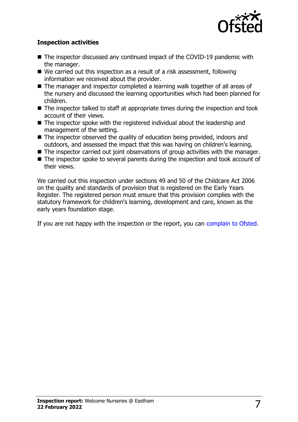

#### **Inspection activities**

- $\blacksquare$  The inspector discussed any continued impact of the COVID-19 pandemic with the manager.
- $\blacksquare$  We carried out this inspection as a result of a risk assessment, following information we received about the provider.
- $\blacksquare$  The manager and inspector completed a learning walk together of all areas of the nursery and discussed the learning opportunities which had been planned for children.
- $\blacksquare$  The inspector talked to staff at appropriate times during the inspection and took account of their views.
- $\blacksquare$  The inspector spoke with the registered individual about the leadership and management of the setting.
- $\blacksquare$  The inspector observed the quality of education being provided, indoors and outdoors, and assessed the impact that this was having on children's learning.
- $\blacksquare$  The inspector carried out joint observations of group activities with the manager.
- $\blacksquare$  The inspector spoke to several parents during the inspection and took account of their views.

We carried out this inspection under sections 49 and 50 of the Childcare Act 2006 on the quality and standards of provision that is registered on the Early Years Register. The registered person must ensure that this provision complies with the statutory framework for children's learning, development and care, known as the early years foundation stage.

If you are not happy with the inspection or the report, you can [complain to Ofsted](http://www.gov.uk/complain-ofsted-report).